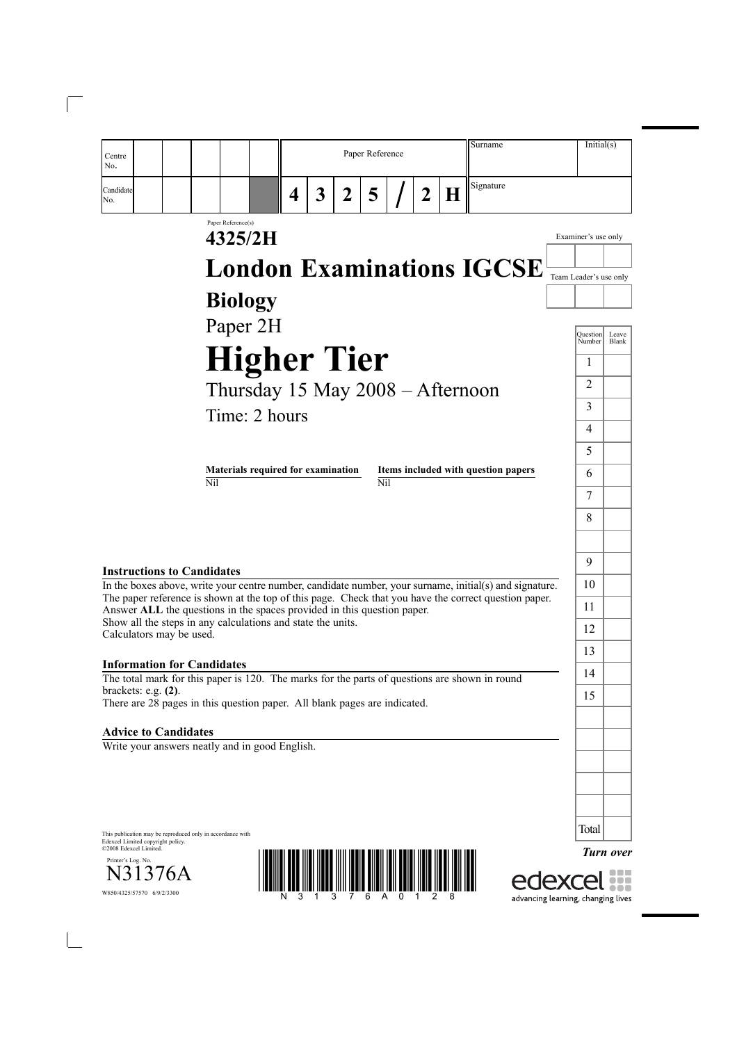| Centre<br>No.                                                                                                                          |                |                    |                                    |   |                |                  | Paper Reference |                |             | Surname                                                                                                                                                                                                          | Initial(s)             |                  |
|----------------------------------------------------------------------------------------------------------------------------------------|----------------|--------------------|------------------------------------|---|----------------|------------------|-----------------|----------------|-------------|------------------------------------------------------------------------------------------------------------------------------------------------------------------------------------------------------------------|------------------------|------------------|
| Candidate<br>No.                                                                                                                       |                |                    |                                    | 4 | $\overline{3}$ | $\boldsymbol{2}$ | 5               | $\overline{2}$ | $\mathbf H$ | Signature                                                                                                                                                                                                        |                        |                  |
|                                                                                                                                        |                | Paper Reference(s) | 4325/2H                            |   |                |                  |                 |                |             |                                                                                                                                                                                                                  | Examiner's use only    |                  |
|                                                                                                                                        |                |                    |                                    |   |                |                  |                 |                |             |                                                                                                                                                                                                                  |                        |                  |
|                                                                                                                                        |                |                    |                                    |   |                |                  |                 |                |             | <b>London Examinations IGCSE</b>                                                                                                                                                                                 | Team Leader's use only |                  |
|                                                                                                                                        |                | <b>Biology</b>     |                                    |   |                |                  |                 |                |             |                                                                                                                                                                                                                  |                        |                  |
|                                                                                                                                        |                |                    | Paper 2H                           |   |                |                  |                 |                |             |                                                                                                                                                                                                                  | <b>Ouestion</b>        | Leave            |
|                                                                                                                                        |                |                    | <b>Higher Tier</b>                 |   |                |                  |                 |                |             |                                                                                                                                                                                                                  | Number<br>1            | Blank            |
|                                                                                                                                        |                |                    |                                    |   |                |                  |                 |                |             |                                                                                                                                                                                                                  | 2                      |                  |
|                                                                                                                                        |                |                    |                                    |   |                |                  |                 |                |             | Thursday 15 May 2008 – Afternoon                                                                                                                                                                                 | 3                      |                  |
|                                                                                                                                        |                |                    | Time: 2 hours                      |   |                |                  |                 |                |             |                                                                                                                                                                                                                  | $\overline{4}$         |                  |
|                                                                                                                                        |                |                    |                                    |   |                |                  |                 |                |             |                                                                                                                                                                                                                  | 5                      |                  |
|                                                                                                                                        |                |                    | Materials required for examination |   |                |                  |                 |                |             | Items included with question papers                                                                                                                                                                              | 6                      |                  |
|                                                                                                                                        | N <sub>i</sub> |                    |                                    |   |                |                  | N <sub>i</sub>  |                |             |                                                                                                                                                                                                                  | 7                      |                  |
|                                                                                                                                        |                |                    |                                    |   |                |                  |                 |                |             |                                                                                                                                                                                                                  | 8                      |                  |
|                                                                                                                                        |                |                    |                                    |   |                |                  |                 |                |             |                                                                                                                                                                                                                  |                        |                  |
| <b>Instructions to Candidates</b>                                                                                                      |                |                    |                                    |   |                |                  |                 |                |             |                                                                                                                                                                                                                  | 9                      |                  |
|                                                                                                                                        |                |                    |                                    |   |                |                  |                 |                |             | In the boxes above, write your centre number, candidate number, your surname, initial(s) and signature.<br>The paper reference is shown at the top of this page. Check that you have the correct question paper. | 10                     |                  |
| Answer ALL the questions in the spaces provided in this question paper.<br>Show all the steps in any calculations and state the units. |                |                    |                                    |   |                |                  |                 |                |             |                                                                                                                                                                                                                  | 11                     |                  |
| Calculators may be used.                                                                                                               |                |                    |                                    |   |                |                  |                 |                |             |                                                                                                                                                                                                                  | 12                     |                  |
| <b>Information for Candidates</b>                                                                                                      |                |                    |                                    |   |                |                  |                 |                |             |                                                                                                                                                                                                                  | 13                     |                  |
| The total mark for this paper is 120. The marks for the parts of questions are shown in round<br>brackets: e.g. (2).                   |                |                    |                                    |   |                |                  |                 |                |             |                                                                                                                                                                                                                  | 14                     |                  |
| There are 28 pages in this question paper. All blank pages are indicated.                                                              |                |                    |                                    |   |                |                  |                 |                |             |                                                                                                                                                                                                                  | 15                     |                  |
| <b>Advice to Candidates</b>                                                                                                            |                |                    |                                    |   |                |                  |                 |                |             |                                                                                                                                                                                                                  |                        |                  |
| Write your answers neatly and in good English.                                                                                         |                |                    |                                    |   |                |                  |                 |                |             |                                                                                                                                                                                                                  |                        |                  |
|                                                                                                                                        |                |                    |                                    |   |                |                  |                 |                |             |                                                                                                                                                                                                                  |                        |                  |
|                                                                                                                                        |                |                    |                                    |   |                |                  |                 |                |             |                                                                                                                                                                                                                  |                        |                  |
| This publication may be reproduced only in accordance with                                                                             |                |                    |                                    |   |                |                  |                 |                |             |                                                                                                                                                                                                                  | Total                  |                  |
| Edexcel Limited copyright policy.<br>©2008 Edexcel Limited.                                                                            |                |                    |                                    |   |                |                  |                 |                |             |                                                                                                                                                                                                                  |                        | <b>Turn over</b> |

edexcel of

\*N31376A0128\*

W850/4325/57570 6/9/2/3300

 $\boxed{\phantom{1}}$ 

 $\sqrt{ }$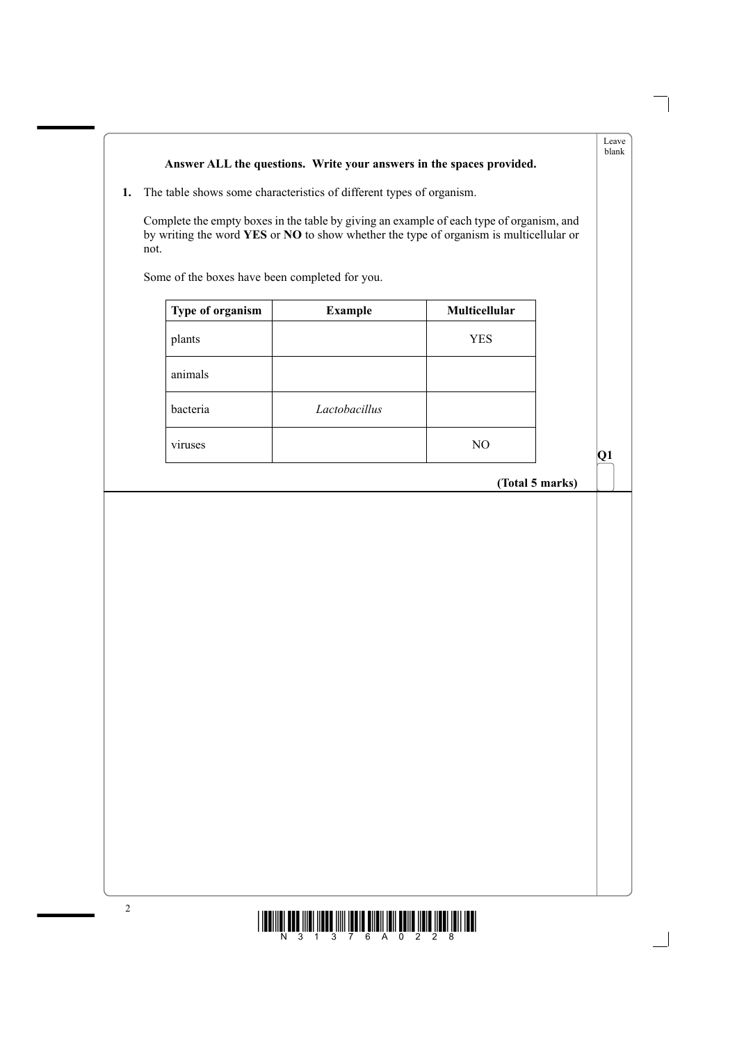|      |                                                                      |                | Answer ALL the questions. Write your answers in the spaces provided.                                                                                                               | blank |
|------|----------------------------------------------------------------------|----------------|------------------------------------------------------------------------------------------------------------------------------------------------------------------------------------|-------|
| 1.   | The table shows some characteristics of different types of organism. |                |                                                                                                                                                                                    |       |
| not. |                                                                      |                | Complete the empty boxes in the table by giving an example of each type of organism, and<br>by writing the word YES or NO to show whether the type of organism is multicellular or |       |
|      | Some of the boxes have been completed for you.                       |                |                                                                                                                                                                                    |       |
|      | Type of organism                                                     | <b>Example</b> | Multicellular                                                                                                                                                                      |       |
|      | plants                                                               |                | <b>YES</b>                                                                                                                                                                         |       |
|      | animals                                                              |                |                                                                                                                                                                                    |       |
|      | bacteria                                                             | Lactobacillus  |                                                                                                                                                                                    |       |
|      | viruses                                                              |                | NO                                                                                                                                                                                 | Q1    |
|      |                                                                      |                | (Total 5 marks)                                                                                                                                                                    |       |
|      |                                                                      |                |                                                                                                                                                                                    |       |
|      |                                                                      |                |                                                                                                                                                                                    |       |

 $\Box$ 

 $\overline{\phantom{0}}$ 

 $\frac{1}{2}$  and  $\frac{2}{3}$  and  $\frac{1}{3}$  and  $\frac{2}{3}$  and  $\frac{2}{3}$  and  $\frac{2}{3}$  and  $\frac{2}{3}$  and  $\frac{2}{3}$  and  $\frac{2}{3}$  and  $\frac{2}{3}$  and  $\frac{2}{3}$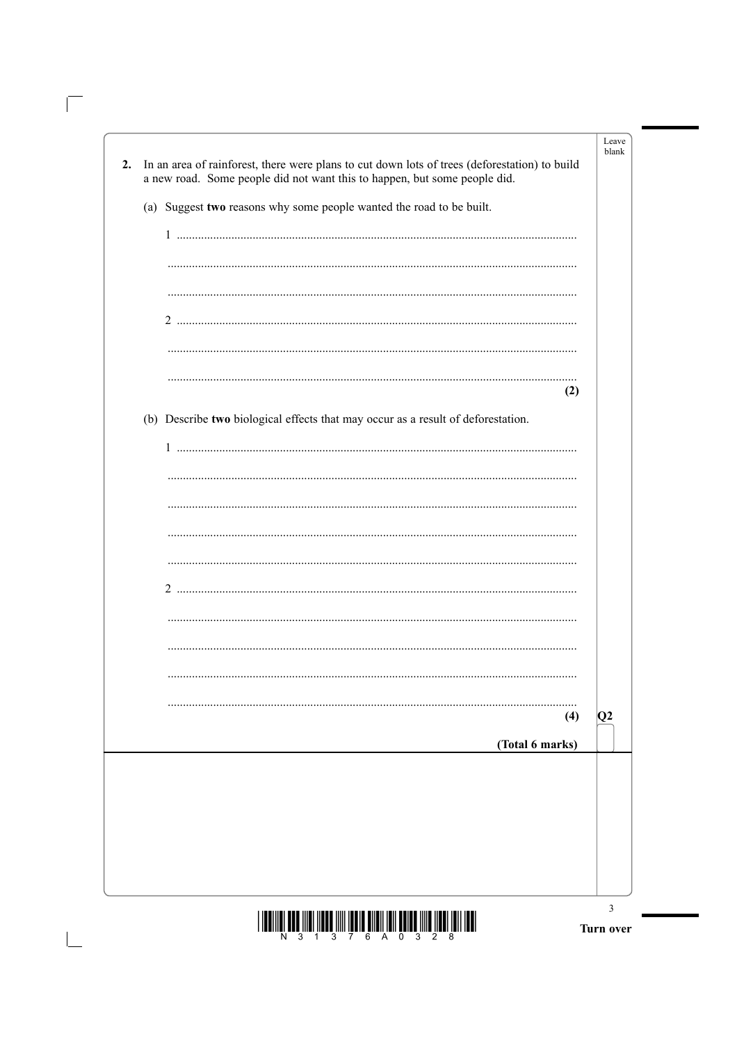| 2. | In an area of rainforest, there were plans to cut down lots of trees (deforestation) to build | Leave<br>blank   |
|----|-----------------------------------------------------------------------------------------------|------------------|
|    | a new road. Some people did not want this to happen, but some people did.                     |                  |
|    | (a) Suggest two reasons why some people wanted the road to be built.                          |                  |
|    |                                                                                               |                  |
|    |                                                                                               |                  |
|    |                                                                                               |                  |
|    |                                                                                               |                  |
|    |                                                                                               |                  |
|    |                                                                                               |                  |
|    | (2)                                                                                           |                  |
|    | (b) Describe two biological effects that may occur as a result of deforestation.              |                  |
|    | 1                                                                                             |                  |
|    |                                                                                               |                  |
|    |                                                                                               |                  |
|    |                                                                                               |                  |
|    |                                                                                               |                  |
|    |                                                                                               |                  |
|    |                                                                                               |                  |
|    |                                                                                               |                  |
|    |                                                                                               |                  |
|    | (4)                                                                                           | $ {\bf Q2}$      |
|    | (Total 6 marks)                                                                               |                  |
|    |                                                                                               |                  |
|    |                                                                                               |                  |
|    |                                                                                               |                  |
|    |                                                                                               |                  |
|    |                                                                                               |                  |
|    |                                                                                               | $\mathfrak{Z}$   |
|    |                                                                                               | <b>Turn over</b> |

 $\sqrt{\phantom{a}}$ 

 $\mathbb{R}^+$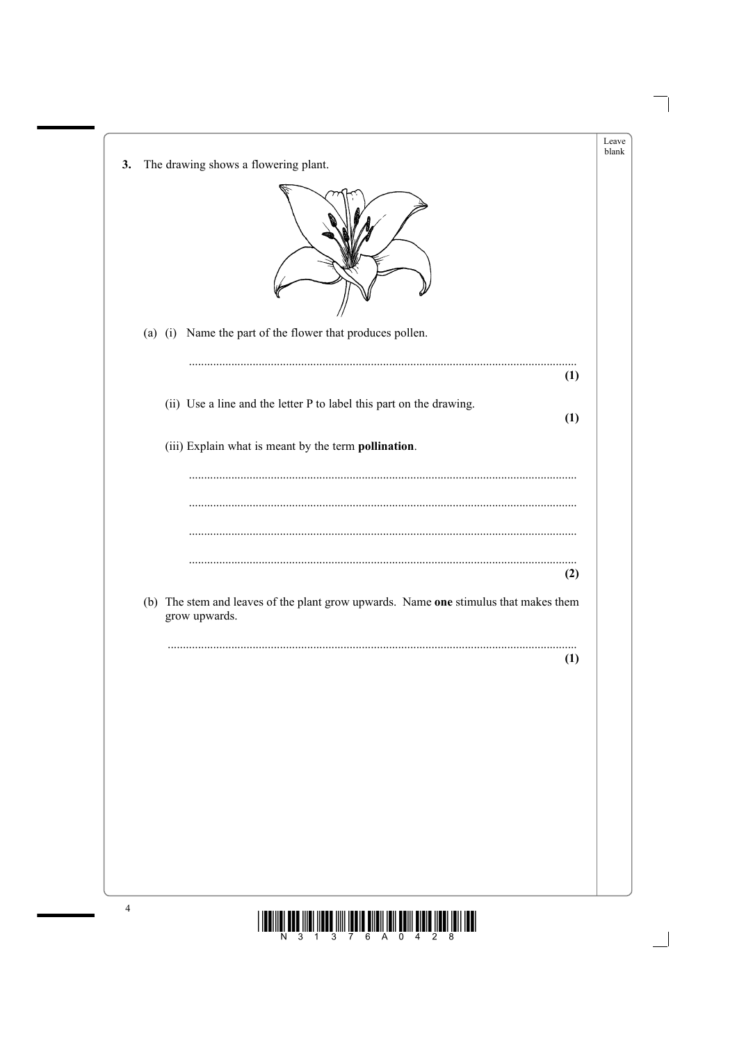| 3. | The drawing shows a flowering plant.                                                                  |
|----|-------------------------------------------------------------------------------------------------------|
|    |                                                                                                       |
|    | (a) (i) Name the part of the flower that produces pollen.                                             |
|    | (1)                                                                                                   |
|    | (ii) Use a line and the letter P to label this part on the drawing.<br>(1)                            |
|    | (iii) Explain what is meant by the term pollination.                                                  |
|    |                                                                                                       |
|    |                                                                                                       |
|    | (2)                                                                                                   |
|    | (b) The stem and leaves of the plant grow upwards. Name one stimulus that makes them<br>grow upwards. |
|    | (1)                                                                                                   |
|    |                                                                                                       |
|    |                                                                                                       |
|    |                                                                                                       |
|    |                                                                                                       |
|    |                                                                                                       |
|    |                                                                                                       |

 $\Box$ 

 $\overline{\phantom{0}}$ 

##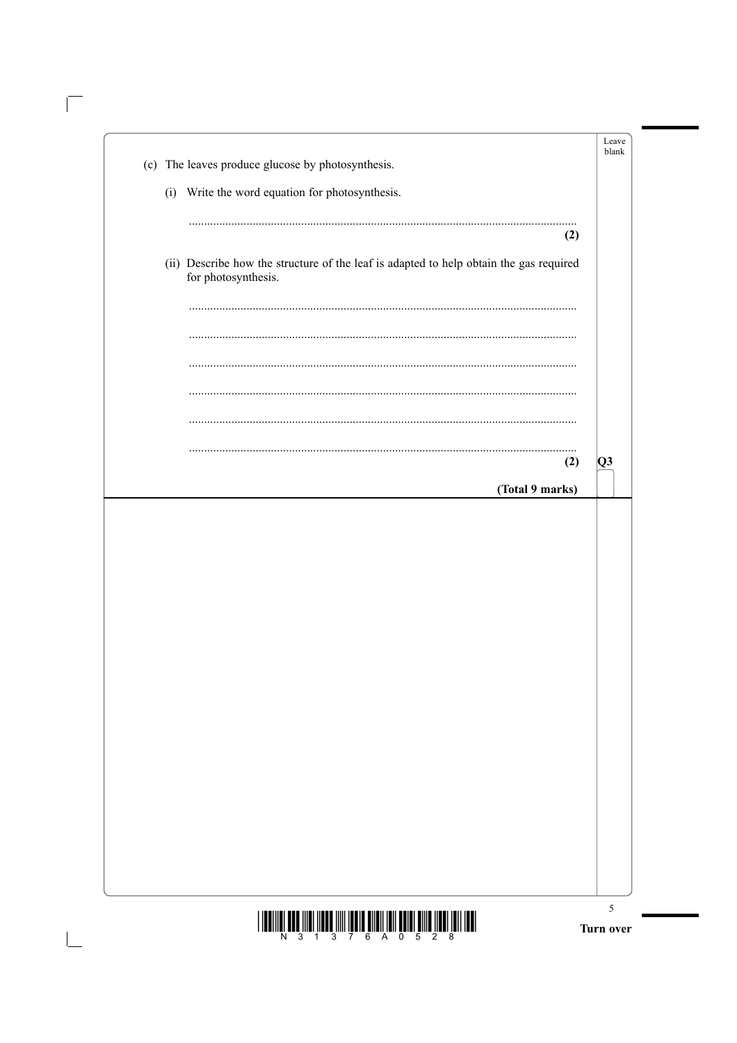| Q3 |
|----|
|    |
|    |
|    |
|    |
|    |
|    |
|    |
|    |
|    |

 $\sqrt{2}$ 

Turn over

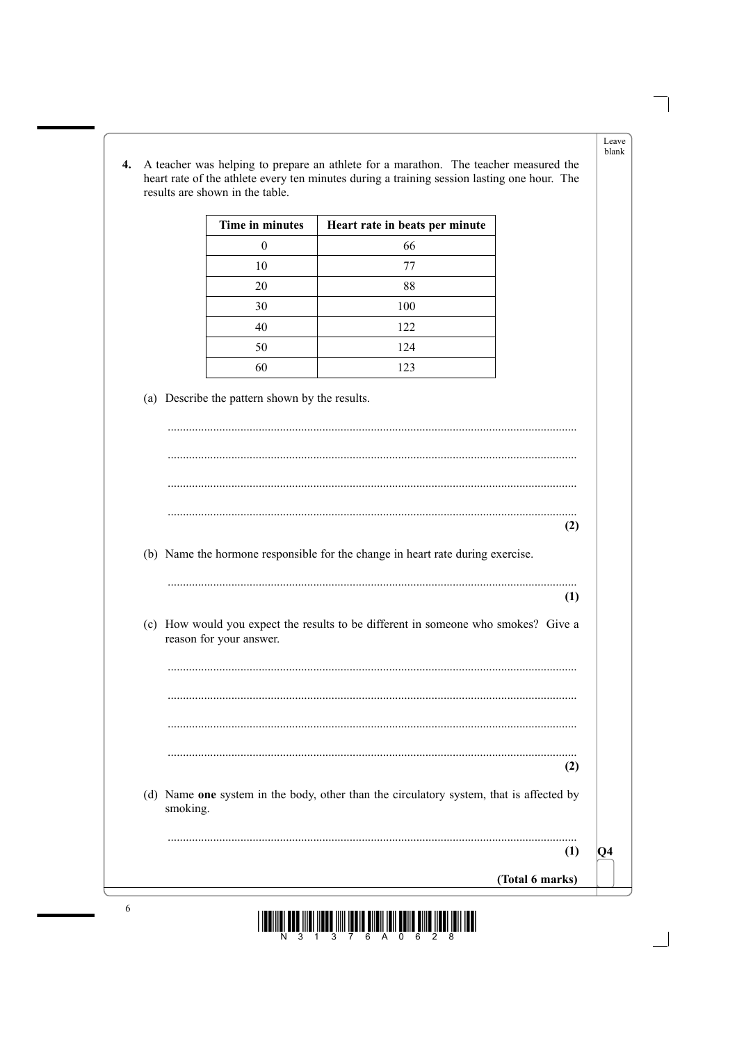|          | Time in minutes         | Heart rate in beats per minute                                                          |     |
|----------|-------------------------|-----------------------------------------------------------------------------------------|-----|
|          | $\boldsymbol{0}$        | 66                                                                                      |     |
|          | 10                      | 77                                                                                      |     |
|          | 20                      | 88                                                                                      |     |
|          | 30                      | 100                                                                                     |     |
|          | 40                      | 122                                                                                     |     |
|          | 50                      | 124                                                                                     |     |
|          | 60                      | 123                                                                                     |     |
|          |                         |                                                                                         |     |
|          |                         |                                                                                         |     |
|          |                         |                                                                                         | (2) |
|          |                         | (b) Name the hormone responsible for the change in heart rate during exercise.          |     |
|          | reason for your answer. | (c) How would you expect the results to be different in someone who smokes? Give a      | (1) |
|          |                         | (d) Name one system in the body, other than the circulatory system, that is affected by | (2) |
| smoking. |                         |                                                                                         | (1) |

 $\overline{\phantom{a}}$ 

 $\overline{\phantom{0}}$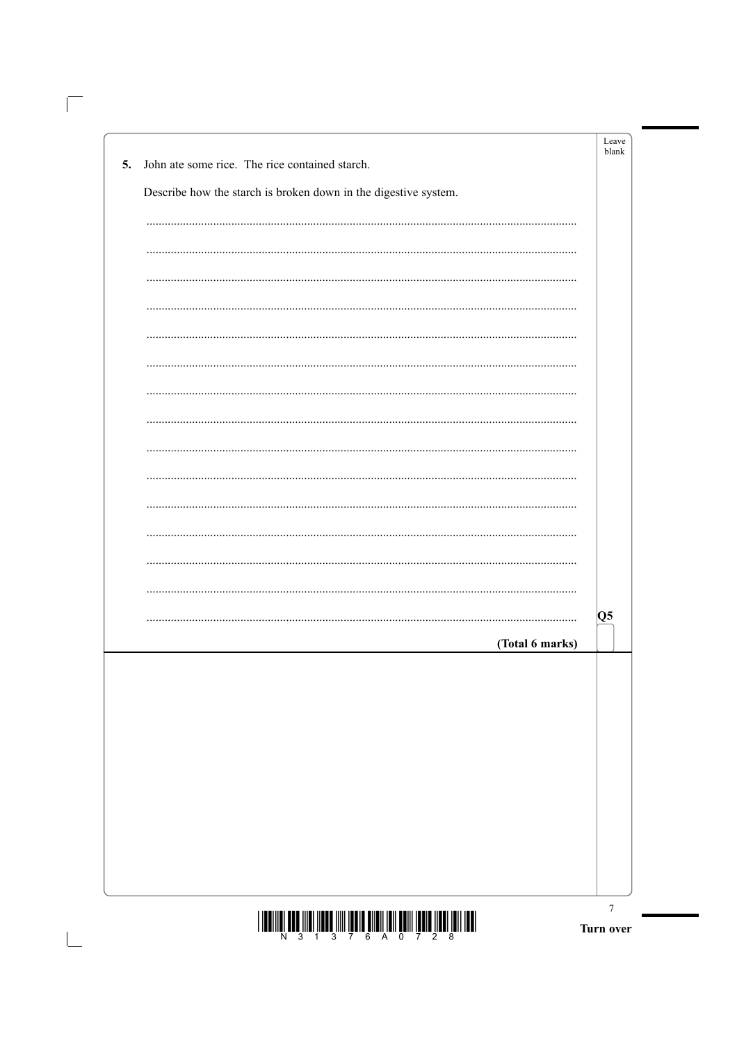| 5. John ate some rice. The rice contained starch.               | Leave<br>blank |
|-----------------------------------------------------------------|----------------|
|                                                                 |                |
| Describe how the starch is broken down in the digestive system. |                |
|                                                                 |                |
|                                                                 |                |
|                                                                 |                |
|                                                                 |                |
|                                                                 |                |
|                                                                 |                |
|                                                                 |                |
|                                                                 |                |
|                                                                 |                |
|                                                                 |                |
|                                                                 |                |
|                                                                 |                |
|                                                                 |                |
|                                                                 |                |
|                                                                 |                |
|                                                                 |                |
|                                                                 |                |
|                                                                 | Q5             |
| (Total 6 marks)                                                 |                |
|                                                                 |                |
|                                                                 |                |
|                                                                 |                |
|                                                                 |                |
|                                                                 |                |
|                                                                 |                |
|                                                                 |                |
|                                                                 |                |
|                                                                 |                |
|                                                                 |                |
|                                                                 |                |

 $\sqrt{2}$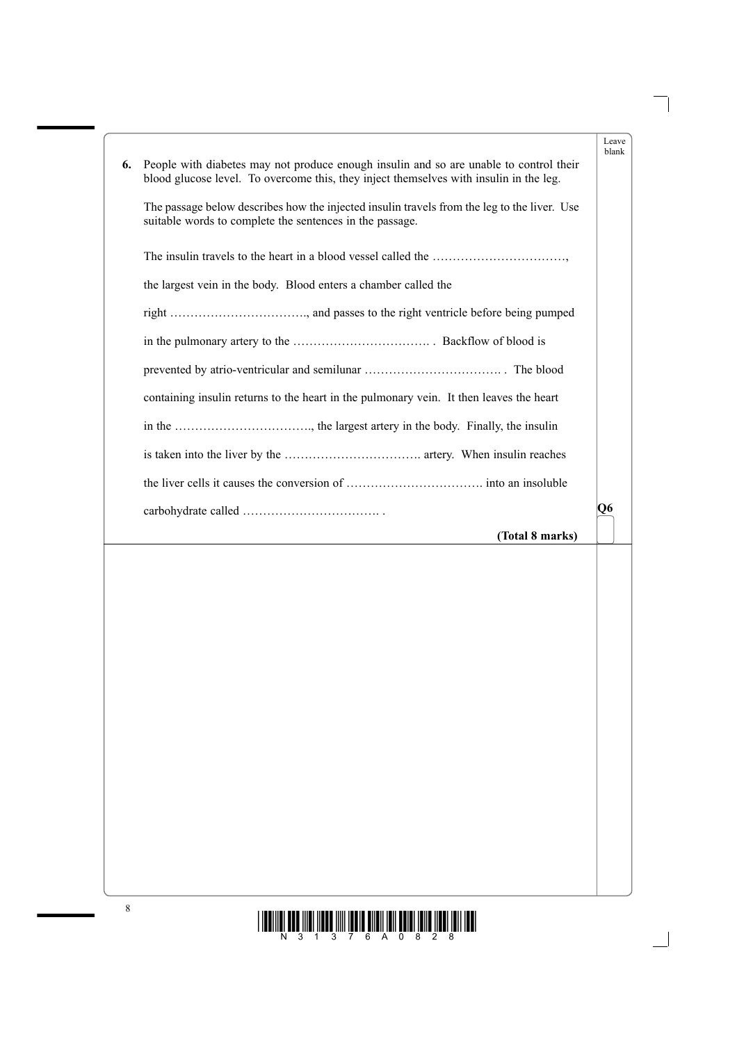| 8  |                                                                                                                                                                                  |                |
|----|----------------------------------------------------------------------------------------------------------------------------------------------------------------------------------|----------------|
|    |                                                                                                                                                                                  |                |
|    |                                                                                                                                                                                  |                |
|    |                                                                                                                                                                                  |                |
|    |                                                                                                                                                                                  |                |
|    |                                                                                                                                                                                  |                |
|    |                                                                                                                                                                                  |                |
|    | (Total 8 marks)                                                                                                                                                                  |                |
|    |                                                                                                                                                                                  | Q6             |
|    |                                                                                                                                                                                  |                |
|    |                                                                                                                                                                                  |                |
|    | containing insulin returns to the heart in the pulmonary vein. It then leaves the heart                                                                                          |                |
|    |                                                                                                                                                                                  |                |
|    |                                                                                                                                                                                  |                |
|    | the largest vein in the body. Blood enters a chamber called the                                                                                                                  |                |
|    |                                                                                                                                                                                  |                |
|    | The passage below describes how the injected insulin travels from the leg to the liver. Use<br>suitable words to complete the sentences in the passage.                          |                |
| 6. | People with diabetes may not produce enough insulin and so are unable to control their<br>blood glucose level. To overcome this, they inject themselves with insulin in the leg. | Leave<br>blank |

 $\mathbb{R}$ 

 $\begin{array}{c} \hline \end{array}$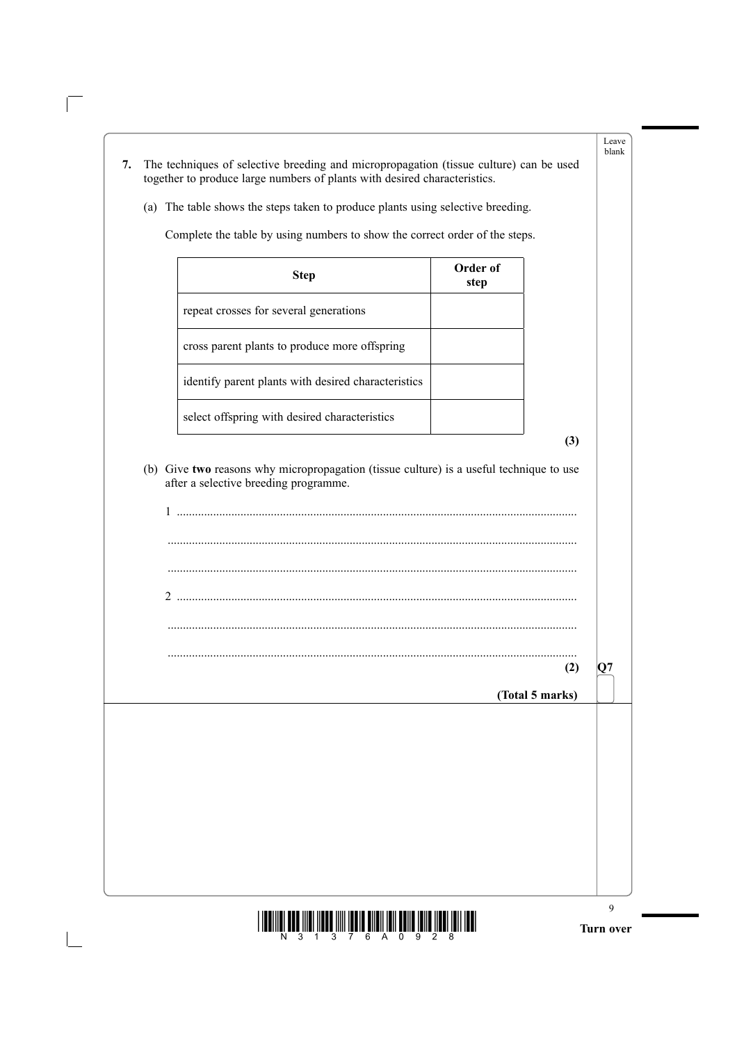| 7. | The techniques of selective breeding and micropropagation (tissue culture) can be used<br>together to produce large numbers of plants with desired characteristics. |                  | blank      |
|----|---------------------------------------------------------------------------------------------------------------------------------------------------------------------|------------------|------------|
|    | (a) The table shows the steps taken to produce plants using selective breeding.                                                                                     |                  |            |
|    | Complete the table by using numbers to show the correct order of the steps.                                                                                         |                  |            |
|    | <b>Step</b>                                                                                                                                                         | Order of<br>step |            |
|    | repeat crosses for several generations                                                                                                                              |                  |            |
|    | cross parent plants to produce more offspring                                                                                                                       |                  |            |
|    | identify parent plants with desired characteristics                                                                                                                 |                  |            |
|    | select offspring with desired characteristics                                                                                                                       |                  |            |
|    |                                                                                                                                                                     |                  | (3)        |
| 2  |                                                                                                                                                                     |                  |            |
|    |                                                                                                                                                                     |                  | (2)<br> Q7 |
|    |                                                                                                                                                                     | (Total 5 marks)  |            |
|    |                                                                                                                                                                     |                  |            |
|    |                                                                                                                                                                     |                  | 9          |

 $\sqrt{2}$ 

 $\boxed{\phantom{1}}$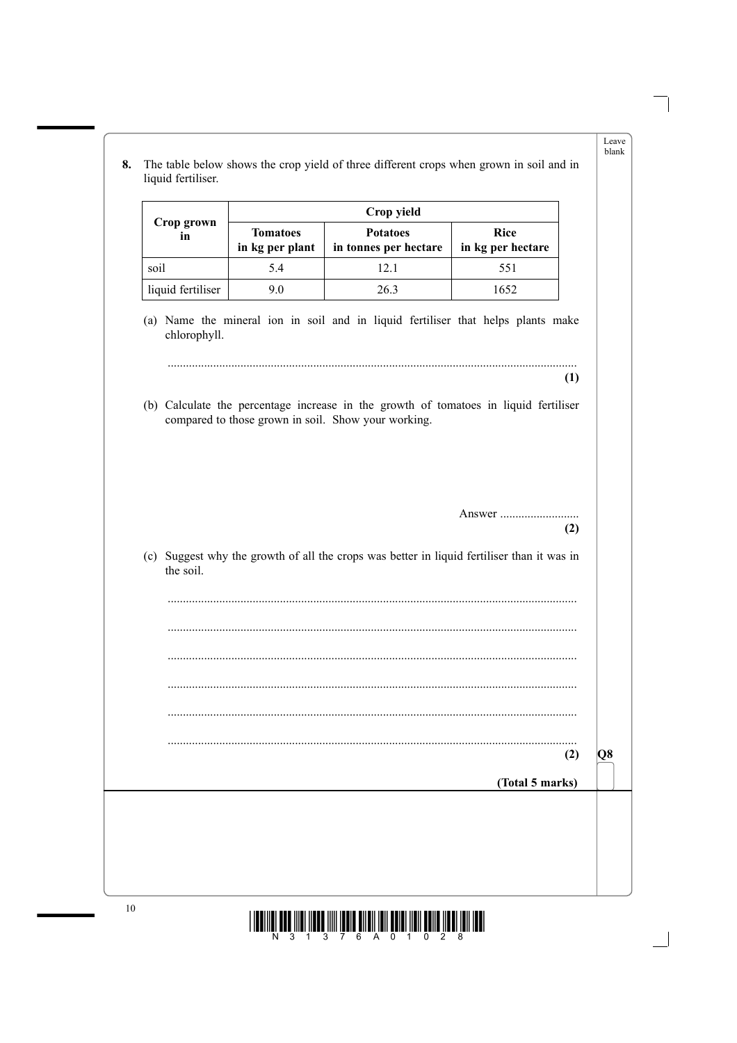|                   |                                    | Crop yield                                                                                 |                                  |     |
|-------------------|------------------------------------|--------------------------------------------------------------------------------------------|----------------------------------|-----|
| Crop grown<br>in  | <b>Tomatoes</b><br>in kg per plant | <b>Potatoes</b><br>in tonnes per hectare                                                   | <b>Rice</b><br>in kg per hectare |     |
| soil              | 5.4                                | 12.1                                                                                       | 551                              |     |
| liquid fertiliser | 9.0                                | 26.3                                                                                       | 1652                             |     |
| chlorophyll.      |                                    | (a) Name the mineral ion in soil and in liquid fertiliser that helps plants make           |                                  |     |
|                   |                                    |                                                                                            |                                  | (1) |
|                   |                                    |                                                                                            |                                  |     |
|                   |                                    |                                                                                            |                                  |     |
|                   |                                    |                                                                                            | Answer                           | (2) |
| the soil.         |                                    | (c) Suggest why the growth of all the crops was better in liquid fertiliser than it was in |                                  |     |
|                   |                                    |                                                                                            |                                  |     |
|                   |                                    |                                                                                            |                                  |     |
|                   |                                    |                                                                                            |                                  |     |
|                   |                                    |                                                                                            |                                  |     |
|                   |                                    |                                                                                            |                                  |     |
|                   |                                    |                                                                                            |                                  |     |
|                   |                                    |                                                                                            |                                  | (2) |
|                   |                                    |                                                                                            | (Total 5 marks)                  |     |
|                   |                                    |                                                                                            |                                  |     |

 $\overline{\phantom{a}}$ 

 $\overline{\phantom{0}}$ 

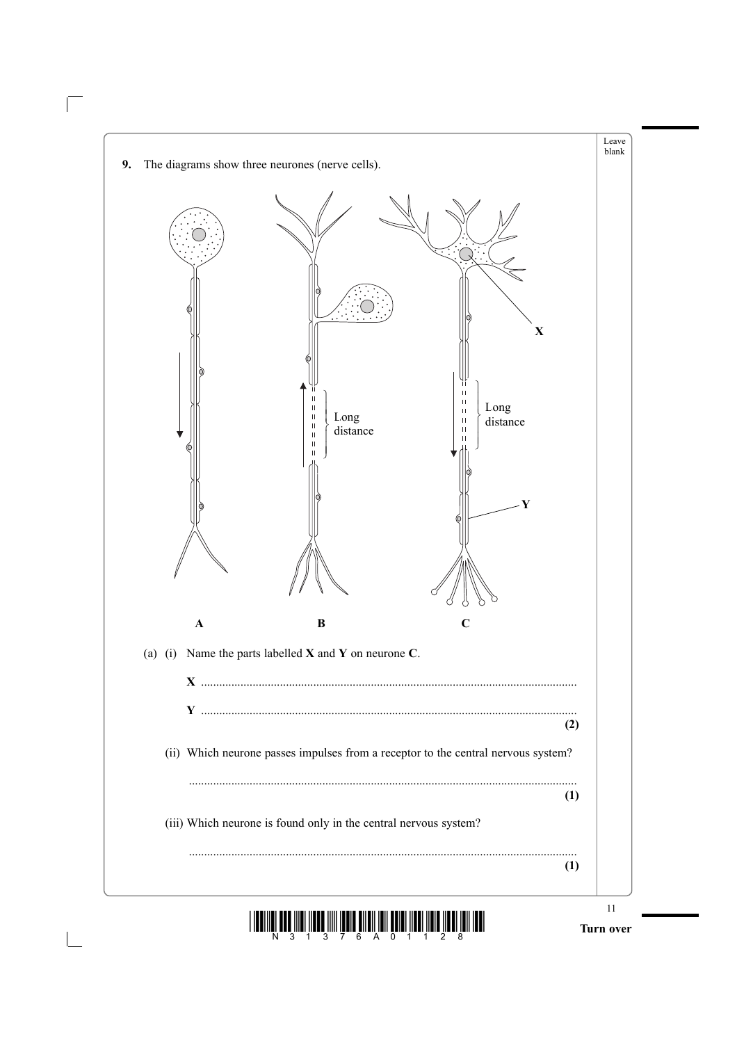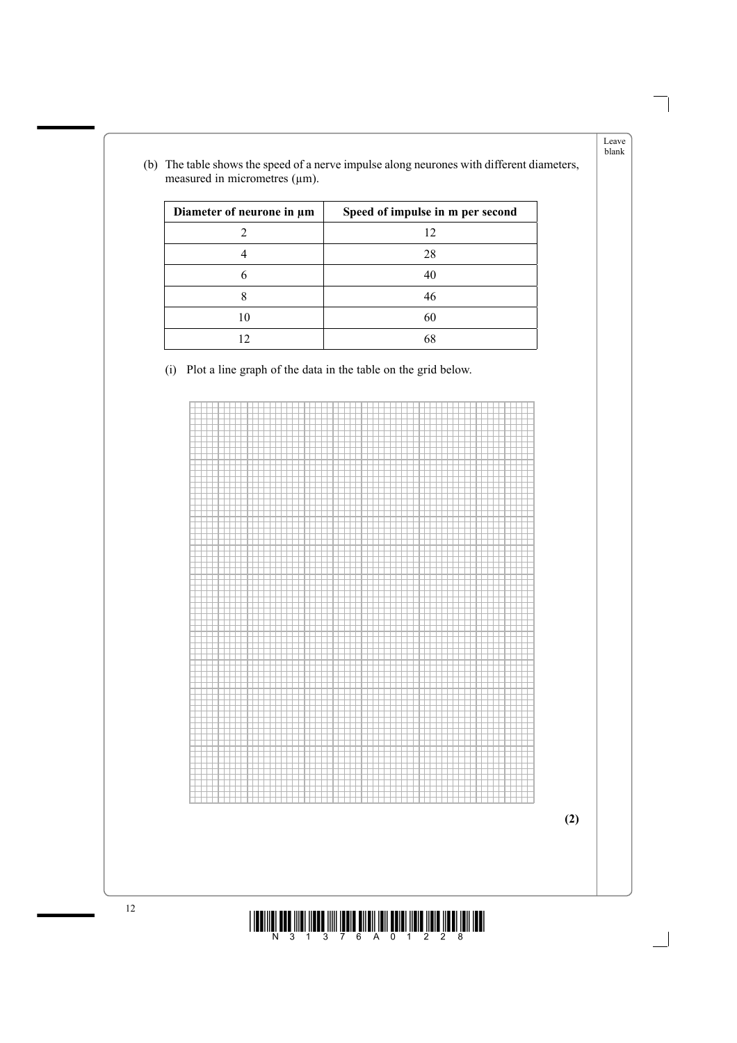

 $\begin{min}\lim\limits_{N\to 3}\lim\limits_{4\to 3}\lim\limits_{N\to 6}\lim\limits_{N\to 6}\lim\limits_{N\to 0}\lim\limits_{N\to 2}\lim\limits_{N\to 2}\lim\limits_{N\to 8}\lim\limits_{N\to 0}$ 

Leave blank

 $\mathbb{R}$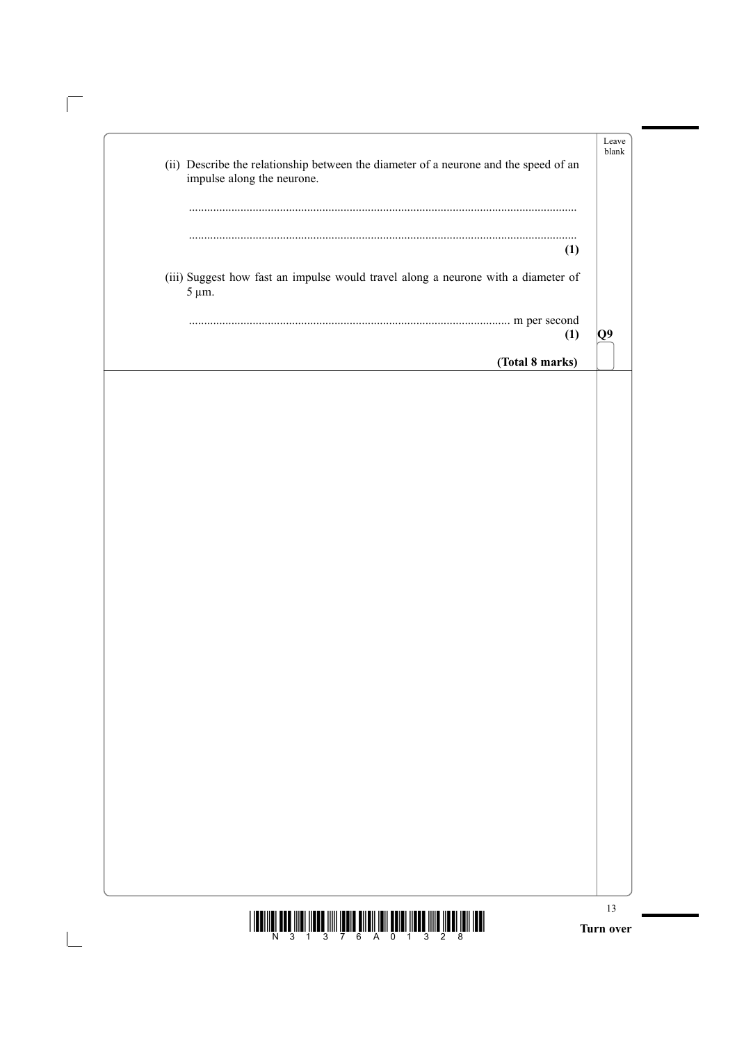|             | (ii) Describe the relationship between the diameter of a neurone and the speed of an<br>impulse along the neurone. | Leave<br>blank |
|-------------|--------------------------------------------------------------------------------------------------------------------|----------------|
|             | .<br>(1)                                                                                                           |                |
| $5 \mu m$ . | (iii) Suggest how fast an impulse would travel along a neurone with a diameter of                                  |                |
|             | m per second<br>(1)<br>(Total 8 marks)                                                                             | Q9             |
|             |                                                                                                                    |                |
|             |                                                                                                                    |                |
|             |                                                                                                                    |                |
|             |                                                                                                                    |                |
|             |                                                                                                                    |                |
|             |                                                                                                                    |                |
|             |                                                                                                                    |                |
|             |                                                                                                                    |                |
|             |                                                                                                                    |                |
|             |                                                                                                                    |                |
|             |                                                                                                                    |                |
|             |                                                                                                                    |                |
|             |                                                                                                                    |                |
|             |                                                                                                                    |                |

 $\overline{\mathbb{F}}$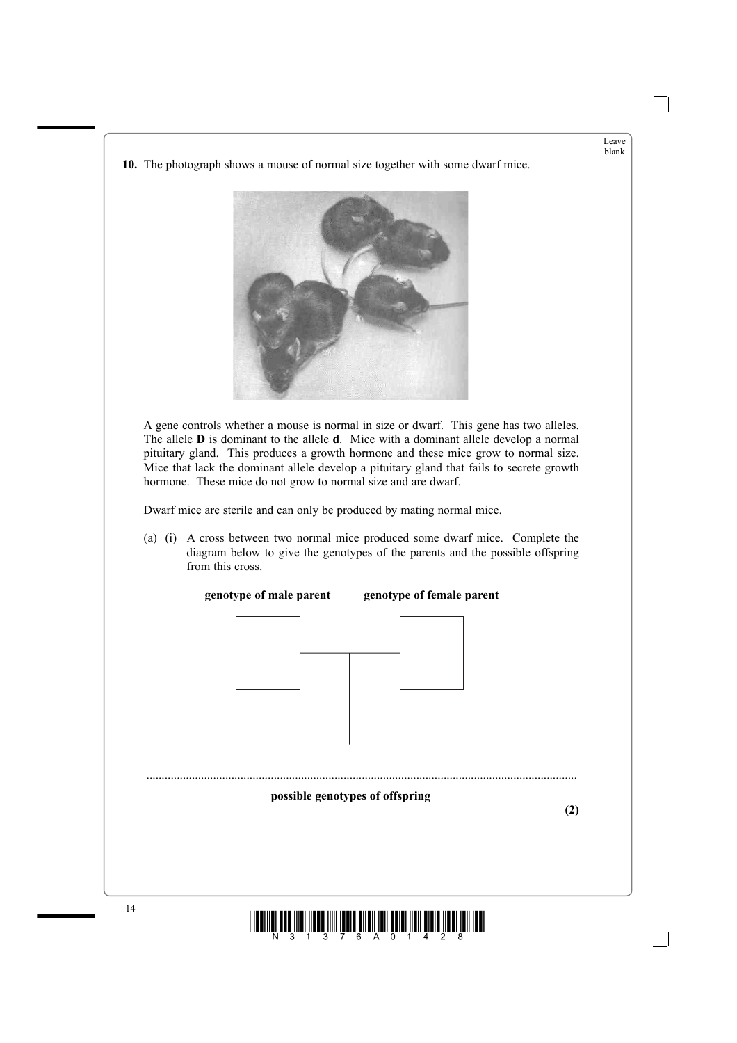

Leave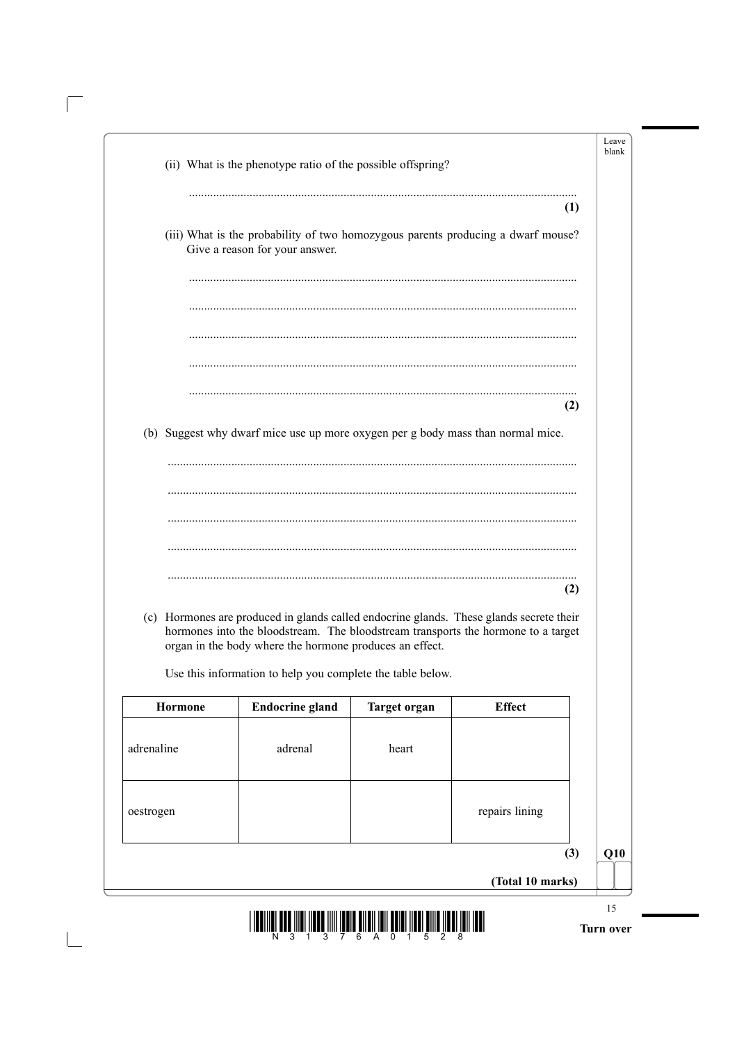|                | (ii) What is the phenotype ratio of the possible offspring?                     |                     |                                                                                                                                                                                     | Leave<br>blank |
|----------------|---------------------------------------------------------------------------------|---------------------|-------------------------------------------------------------------------------------------------------------------------------------------------------------------------------------|----------------|
|                | Give a reason for your answer.                                                  |                     | (1)<br>(iii) What is the probability of two homozygous parents producing a dwarf mouse?                                                                                             |                |
|                |                                                                                 |                     |                                                                                                                                                                                     |                |
|                | (b) Suggest why dwarf mice use up more oxygen per g body mass than normal mice. |                     | (2)                                                                                                                                                                                 |                |
|                |                                                                                 |                     |                                                                                                                                                                                     |                |
|                |                                                                                 |                     |                                                                                                                                                                                     |                |
|                | organ in the body where the hormone produces an effect.                         |                     | (2)<br>(c) Hormones are produced in glands called endocrine glands. These glands secrete their<br>hormones into the bloodstream. The bloodstream transports the hormone to a target |                |
|                | Use this information to help you complete the table below.                      |                     |                                                                                                                                                                                     |                |
| <b>Hormone</b> | <b>Endocrine gland</b>                                                          | <b>Target organ</b> | <b>Effect</b>                                                                                                                                                                       |                |
| adrenaline     | adrenal                                                                         | heart               |                                                                                                                                                                                     |                |
| oestrogen      |                                                                                 |                     | repairs lining                                                                                                                                                                      |                |
|                |                                                                                 |                     | (3)                                                                                                                                                                                 | Q10            |

 $\sqrt{\phantom{a}}$ 

 $\boxed{\phantom{1}}$ 

Turn over

 $\textstyle \frac{1}{2}\left\|\textcolor{red}{\prod_{N}\prod_{i=3}^{N}}\prod_{j=1}^{N}\prod_{j=3}^{N}\prod_{j=1}^{N}\prod_{j=1}^{N}\prod_{j=1}^{N}\prod_{j=1}^{N}\prod_{j=1}^{N}\prod_{j=1}^{N}\prod_{j=2}^{N}\prod_{j=3}^{N}\prod_{j=1}^{N}\prod_{j=1}^{N}\prod_{j=1}^{N}\prod_{j=1}^{N}\prod_{j=1}^{N}\prod_{j=1}^{N}\prod_{j=1}^{N}\prod_{j=1}^{N}\prod_{j=1}^{N}\prod_{j=1}^{N}\prod_{j=1}^{$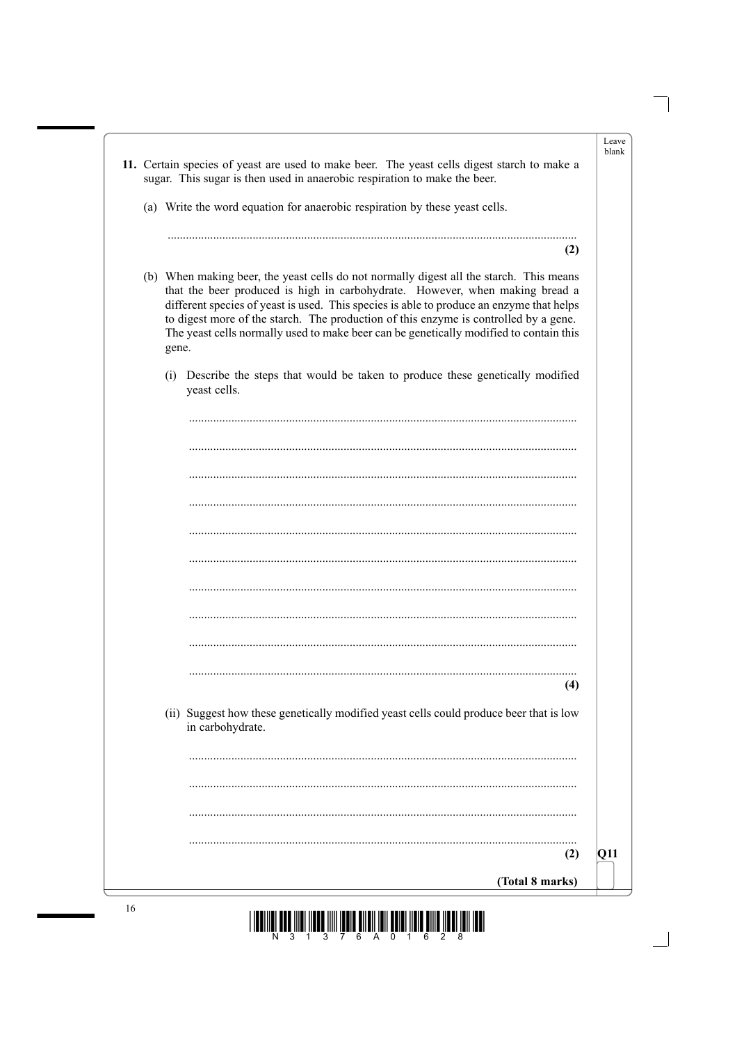| (2)<br>(b) When making beer, the yeast cells do not normally digest all the starch. This means<br>that the beer produced is high in carbohydrate. However, when making bread a<br>different species of yeast is used. This species is able to produce an enzyme that helps<br>to digest more of the starch. The production of this enzyme is controlled by a gene.<br>The yeast cells normally used to make beer can be genetically modified to contain this<br>gene.<br>Describe the steps that would be taken to produce these genetically modified<br>(i)<br>yeast cells.<br>(4)<br>(ii) Suggest how these genetically modified yeast cells could produce beer that is low<br>in carbohydrate. | (a) Write the word equation for anaerobic respiration by these yeast cells. |  |  |  |
|---------------------------------------------------------------------------------------------------------------------------------------------------------------------------------------------------------------------------------------------------------------------------------------------------------------------------------------------------------------------------------------------------------------------------------------------------------------------------------------------------------------------------------------------------------------------------------------------------------------------------------------------------------------------------------------------------|-----------------------------------------------------------------------------|--|--|--|
|                                                                                                                                                                                                                                                                                                                                                                                                                                                                                                                                                                                                                                                                                                   |                                                                             |  |  |  |
|                                                                                                                                                                                                                                                                                                                                                                                                                                                                                                                                                                                                                                                                                                   |                                                                             |  |  |  |
|                                                                                                                                                                                                                                                                                                                                                                                                                                                                                                                                                                                                                                                                                                   |                                                                             |  |  |  |
|                                                                                                                                                                                                                                                                                                                                                                                                                                                                                                                                                                                                                                                                                                   |                                                                             |  |  |  |
|                                                                                                                                                                                                                                                                                                                                                                                                                                                                                                                                                                                                                                                                                                   |                                                                             |  |  |  |
|                                                                                                                                                                                                                                                                                                                                                                                                                                                                                                                                                                                                                                                                                                   |                                                                             |  |  |  |
|                                                                                                                                                                                                                                                                                                                                                                                                                                                                                                                                                                                                                                                                                                   |                                                                             |  |  |  |
|                                                                                                                                                                                                                                                                                                                                                                                                                                                                                                                                                                                                                                                                                                   |                                                                             |  |  |  |
|                                                                                                                                                                                                                                                                                                                                                                                                                                                                                                                                                                                                                                                                                                   |                                                                             |  |  |  |
|                                                                                                                                                                                                                                                                                                                                                                                                                                                                                                                                                                                                                                                                                                   |                                                                             |  |  |  |
|                                                                                                                                                                                                                                                                                                                                                                                                                                                                                                                                                                                                                                                                                                   |                                                                             |  |  |  |
|                                                                                                                                                                                                                                                                                                                                                                                                                                                                                                                                                                                                                                                                                                   |                                                                             |  |  |  |
|                                                                                                                                                                                                                                                                                                                                                                                                                                                                                                                                                                                                                                                                                                   |                                                                             |  |  |  |
|                                                                                                                                                                                                                                                                                                                                                                                                                                                                                                                                                                                                                                                                                                   |                                                                             |  |  |  |
|                                                                                                                                                                                                                                                                                                                                                                                                                                                                                                                                                                                                                                                                                                   |                                                                             |  |  |  |
|                                                                                                                                                                                                                                                                                                                                                                                                                                                                                                                                                                                                                                                                                                   |                                                                             |  |  |  |
| (2)                                                                                                                                                                                                                                                                                                                                                                                                                                                                                                                                                                                                                                                                                               |                                                                             |  |  |  |

 $\mathbb{R}^2$ 

 $\overline{\phantom{0}}$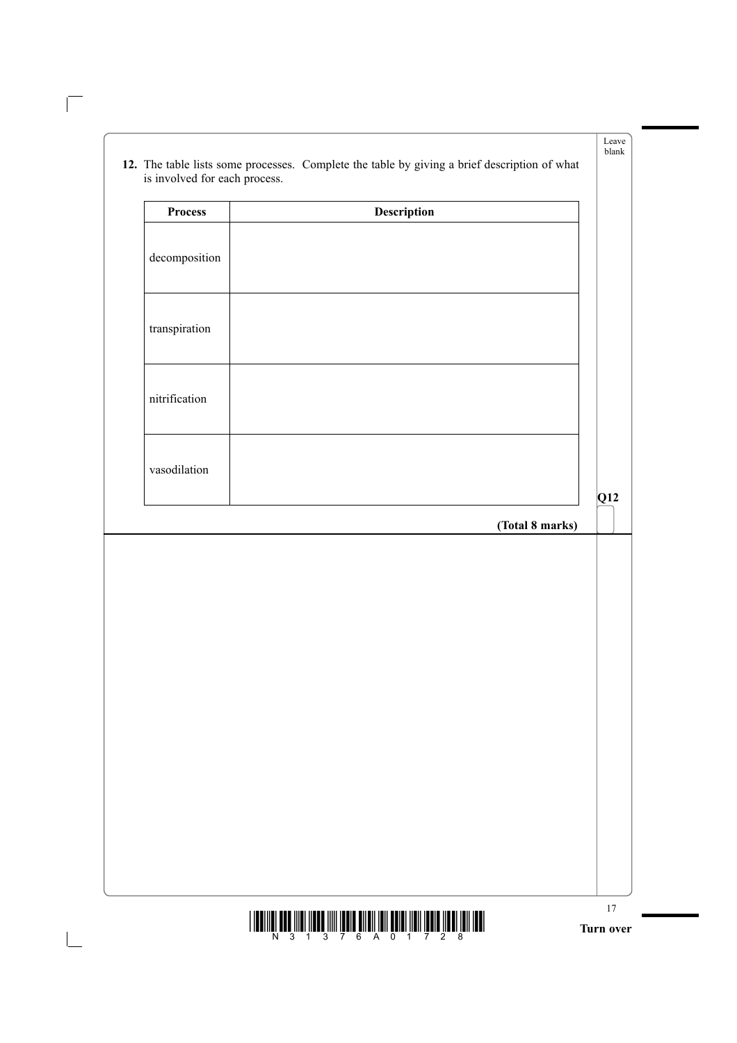| <b>Process</b> | <b>Description</b> |                 |     |
|----------------|--------------------|-----------------|-----|
| decomposition  |                    |                 |     |
| transpiration  |                    |                 |     |
| nitrification  |                    |                 |     |
| vasodilation   |                    |                 | Q12 |
|                |                    | (Total 8 marks) |     |
|                |                    |                 |     |
|                |                    |                 |     |
|                |                    |                 |     |
|                |                    |                 |     |
|                |                    |                 |     |
|                |                    |                 |     |
|                |                    |                 |     |

 $\sqrt{\phantom{a}}$ 

 $\begin{array}{c} \boxed{1} \\ \boxed{1} \end{array}$ 

-

 $\blacksquare$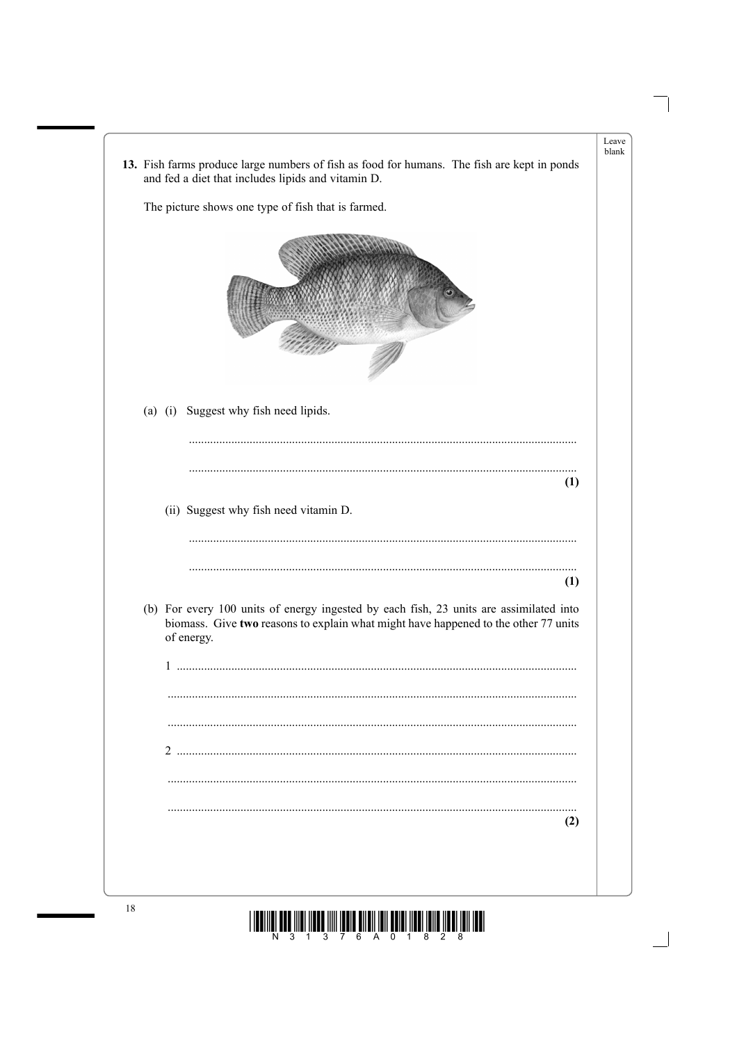| The picture shows one type of fish that is farmed.                                                                                                                                          |
|---------------------------------------------------------------------------------------------------------------------------------------------------------------------------------------------|
|                                                                                                                                                                                             |
| (a) (i) Suggest why fish need lipids.                                                                                                                                                       |
| (1)                                                                                                                                                                                         |
| (ii) Suggest why fish need vitamin D.                                                                                                                                                       |
| $\left( 1\right)$                                                                                                                                                                           |
| (b) For every 100 units of energy ingested by each fish, 23 units are assimilated into<br>biomass. Give two reasons to explain what might have happened to the other 77 units<br>of energy. |
|                                                                                                                                                                                             |
|                                                                                                                                                                                             |
|                                                                                                                                                                                             |
|                                                                                                                                                                                             |

 $\overline{\phantom{0}}$ 

 $\overline{\phantom{0}}$ 

<u>||ITININ TIT MIN'NITI MIN'NIN (TITLE MINI) MIN'NIN ATITI MIN'NIN MIN'NIN MIN'</u>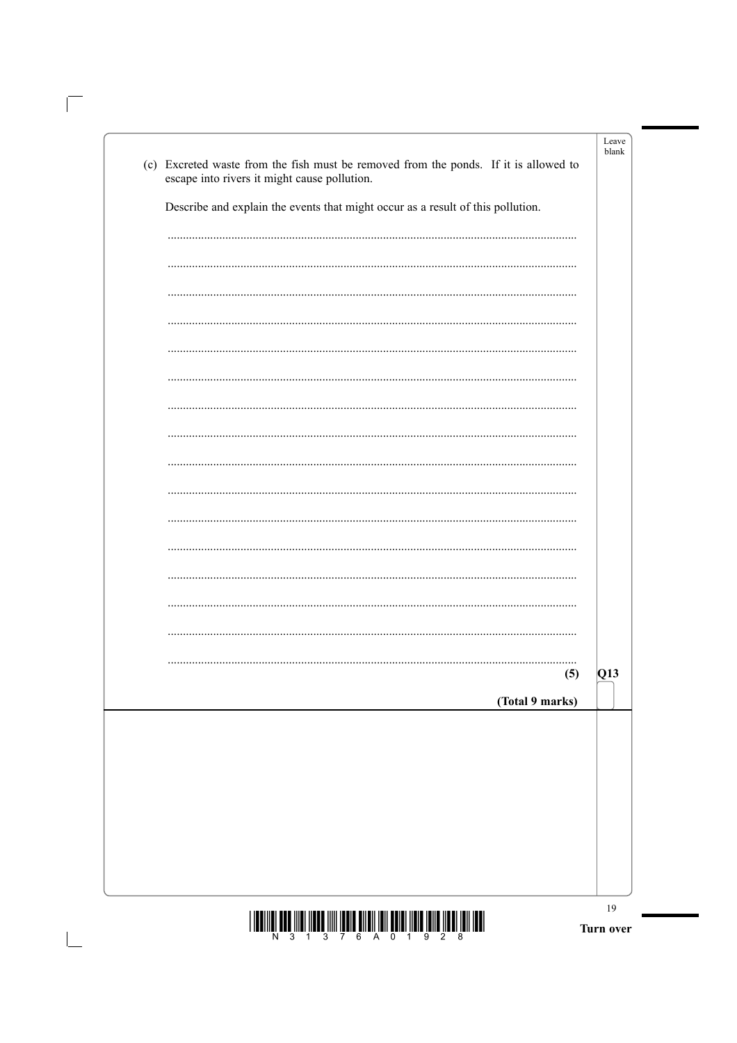| (c) Excreted waste from the fish must be removed from the ponds. If it is allowed to<br>escape into rivers it might cause pollution. | blank |
|--------------------------------------------------------------------------------------------------------------------------------------|-------|
| Describe and explain the events that might occur as a result of this pollution.                                                      |       |
|                                                                                                                                      |       |
|                                                                                                                                      |       |
|                                                                                                                                      |       |
|                                                                                                                                      |       |
|                                                                                                                                      |       |
|                                                                                                                                      |       |
|                                                                                                                                      |       |
|                                                                                                                                      |       |
|                                                                                                                                      |       |
|                                                                                                                                      |       |
|                                                                                                                                      |       |
|                                                                                                                                      |       |
| (5)                                                                                                                                  | Q13   |
| (Total 9 marks)                                                                                                                      |       |
|                                                                                                                                      |       |
|                                                                                                                                      |       |
|                                                                                                                                      |       |
|                                                                                                                                      |       |
|                                                                                                                                      |       |
| <u>I IBBINQI BOB INBI IIBBB INN IGAIB QIIBII IBN QOIBI IIBN IBNB IIBD IBN IBN I</u>                                                  | 19    |

 $\sqrt{ }$ 

 $\overline{\phantom{a}}$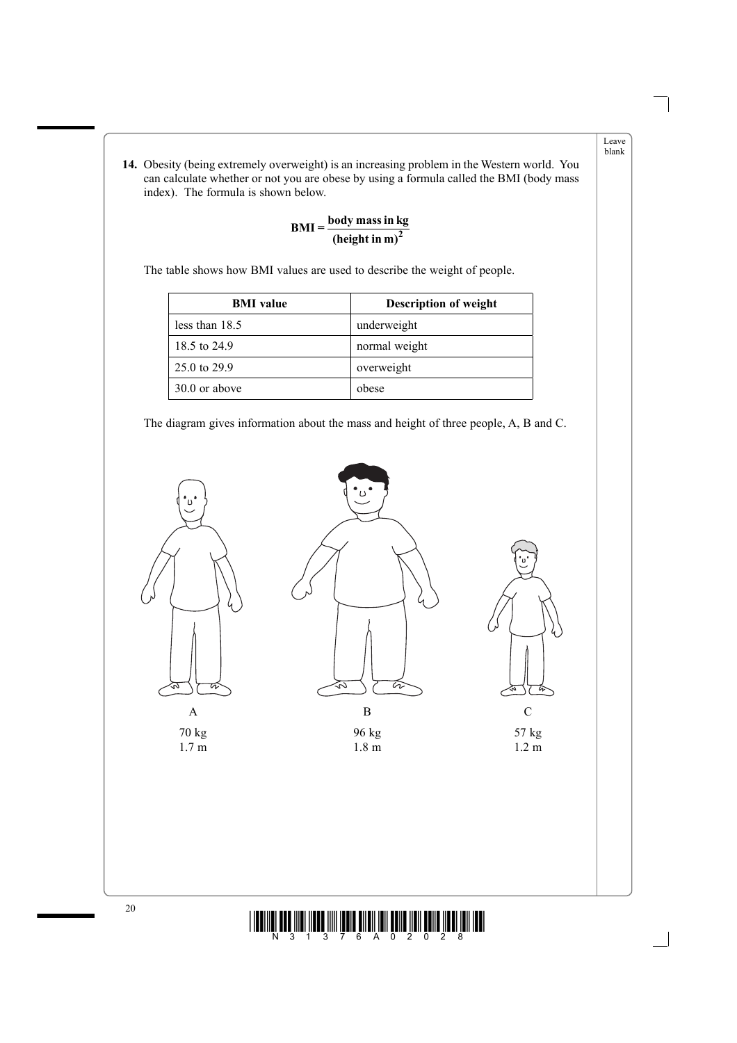**14.** Obesity (being extremely overweight) is an increasing problem in the Western world. You can calculate whether or not you are obese by using a formula called the BMI (body mass index). The formula is shown below.

Leave blank

$$
BMI = \frac{body \text{ mass in kg}}{(\text{height in m})^2}
$$

The table shows how BMI values are used to describe the weight of people.

| <b>BMI</b> value | <b>Description of weight</b> |
|------------------|------------------------------|
| less than 18.5   | underweight                  |
| 18.5 to 24.9     | normal weight                |
| 25.0 to 29.9     | overweight                   |
| 30.0 or above    | obese                        |

The diagram gives information about the mass and height of three people, A, B and C.



<sup>20</sup> \*N31376A02028\*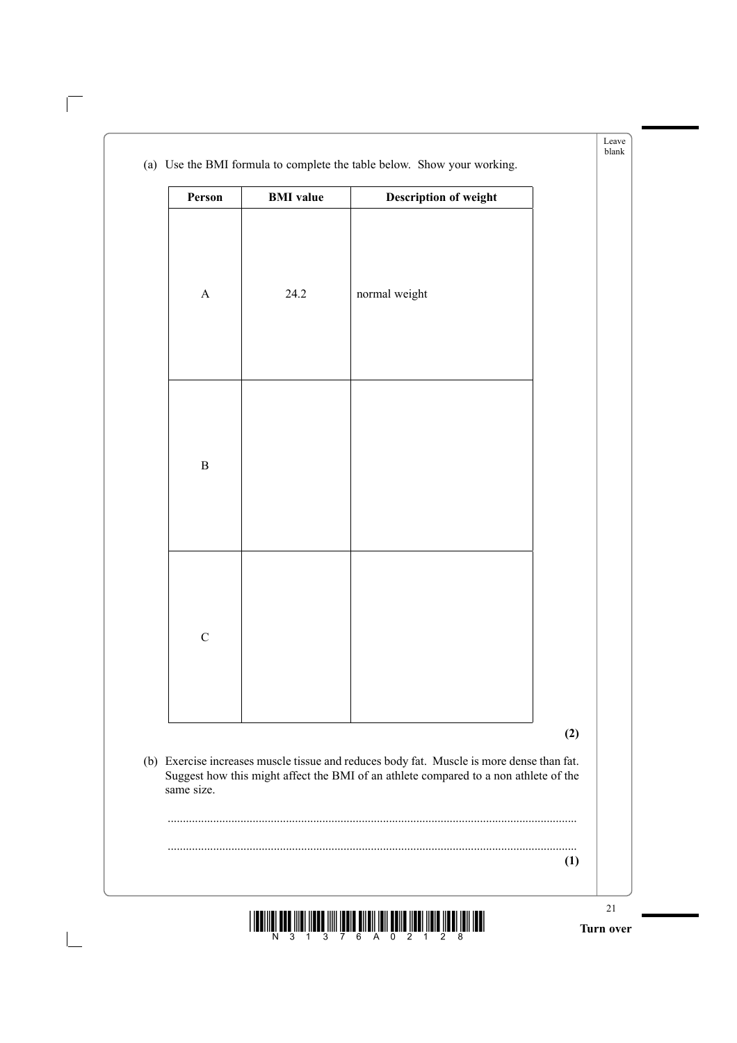

 $\mathbf{L}$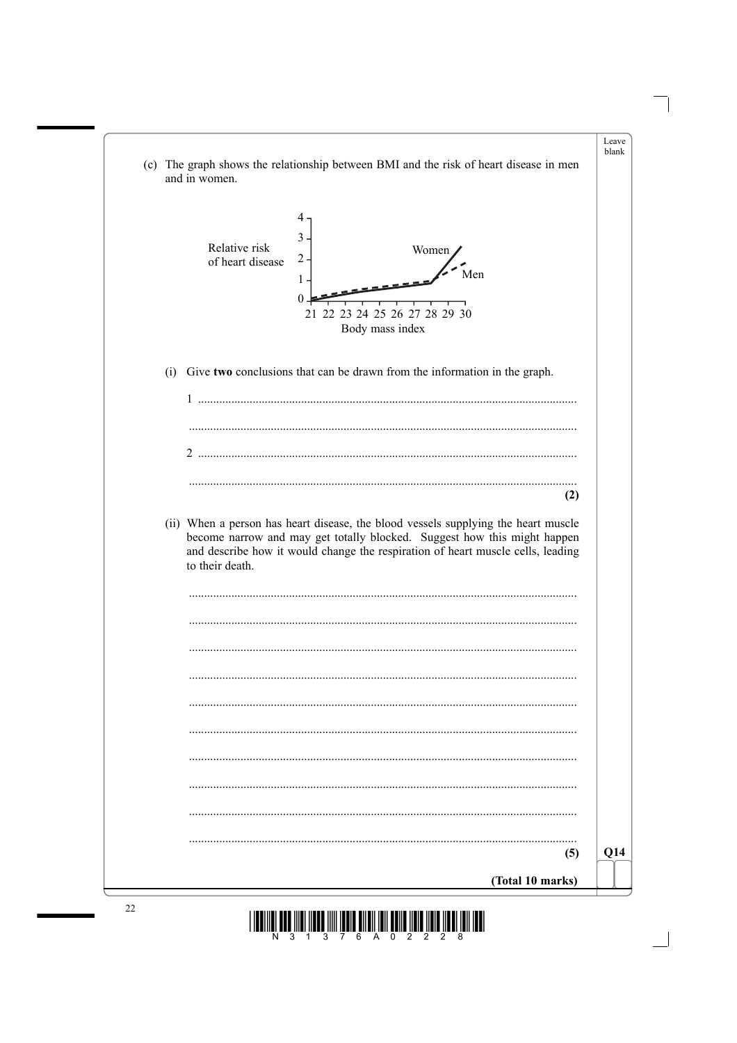

 $\frac{1}{2}$   $\frac{1}{3}$   $\frac{1}{7}$   $\frac{1}{6}$   $\frac{1}{4}$   $\frac{1}{3}$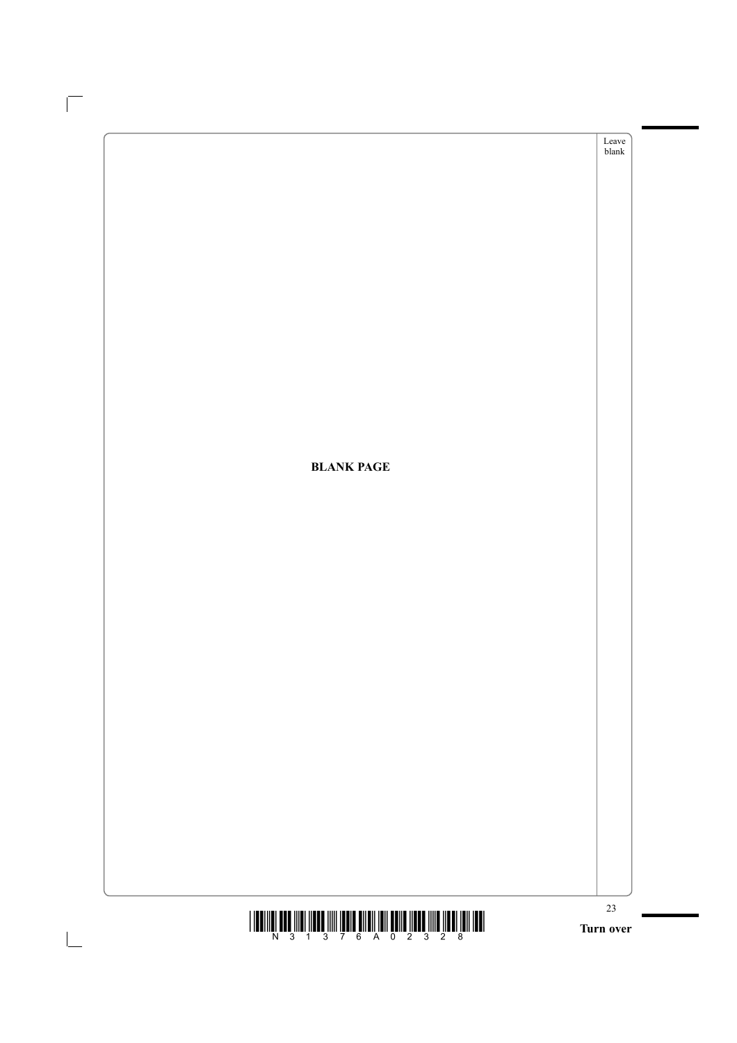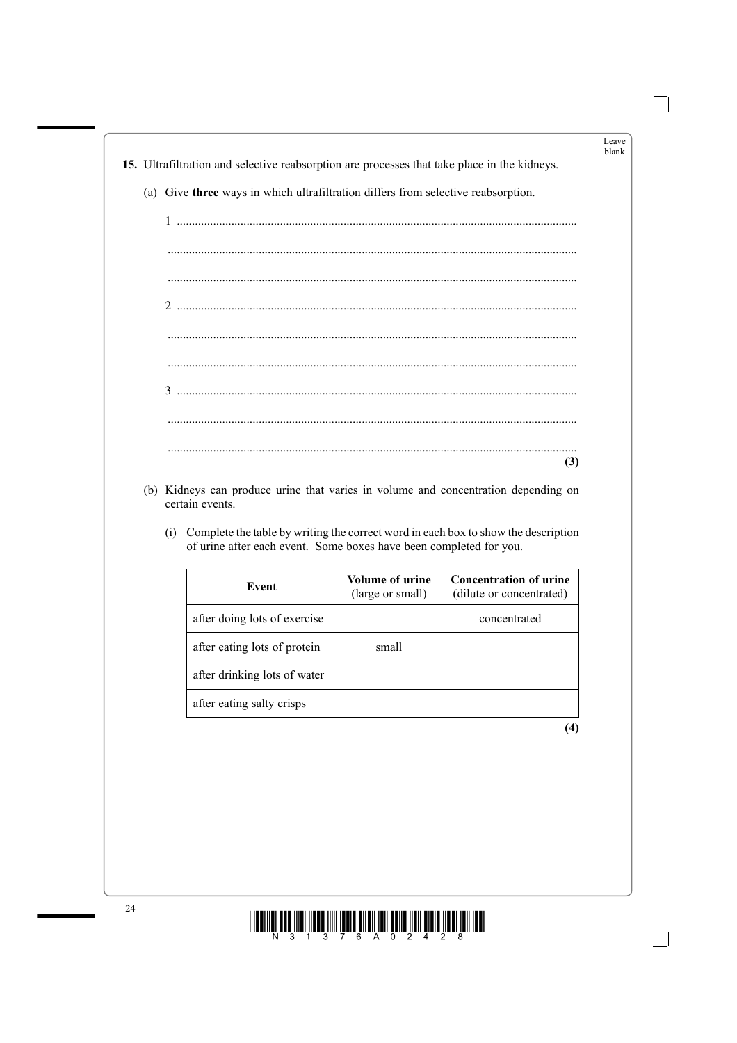|     | (a) Give three ways in which ultrafiltration differs from selective reabsorption.                                                                                                           |                  |                                                                      |
|-----|---------------------------------------------------------------------------------------------------------------------------------------------------------------------------------------------|------------------|----------------------------------------------------------------------|
|     |                                                                                                                                                                                             |                  |                                                                      |
|     |                                                                                                                                                                                             |                  |                                                                      |
|     |                                                                                                                                                                                             |                  |                                                                      |
|     |                                                                                                                                                                                             |                  |                                                                      |
|     |                                                                                                                                                                                             |                  |                                                                      |
|     |                                                                                                                                                                                             |                  |                                                                      |
|     |                                                                                                                                                                                             |                  |                                                                      |
|     |                                                                                                                                                                                             |                  |                                                                      |
|     |                                                                                                                                                                                             |                  |                                                                      |
|     |                                                                                                                                                                                             |                  |                                                                      |
|     |                                                                                                                                                                                             |                  |                                                                      |
| (i) | (b) Kidneys can produce urine that varies in volume and concentration depending on<br>certain events.<br>Complete the table by writing the correct word in each box to show the description |                  | (3)                                                                  |
|     | of urine after each event. Some boxes have been completed for you.<br><b>Event</b>                                                                                                          | (large or small) | Volume of urine   Concentration of urine<br>(dilute or concentrated) |
|     | after doing lots of exercise                                                                                                                                                                |                  | concentrated                                                         |
|     | after eating lots of protein                                                                                                                                                                | small            |                                                                      |
|     | after drinking lots of water                                                                                                                                                                |                  |                                                                      |
|     | after eating salty crisps                                                                                                                                                                   |                  |                                                                      |
|     |                                                                                                                                                                                             |                  |                                                                      |
|     |                                                                                                                                                                                             |                  | (4)                                                                  |
|     |                                                                                                                                                                                             |                  |                                                                      |
|     |                                                                                                                                                                                             |                  |                                                                      |
|     |                                                                                                                                                                                             |                  |                                                                      |

 $\Box$ 

 $\overline{\phantom{0}}$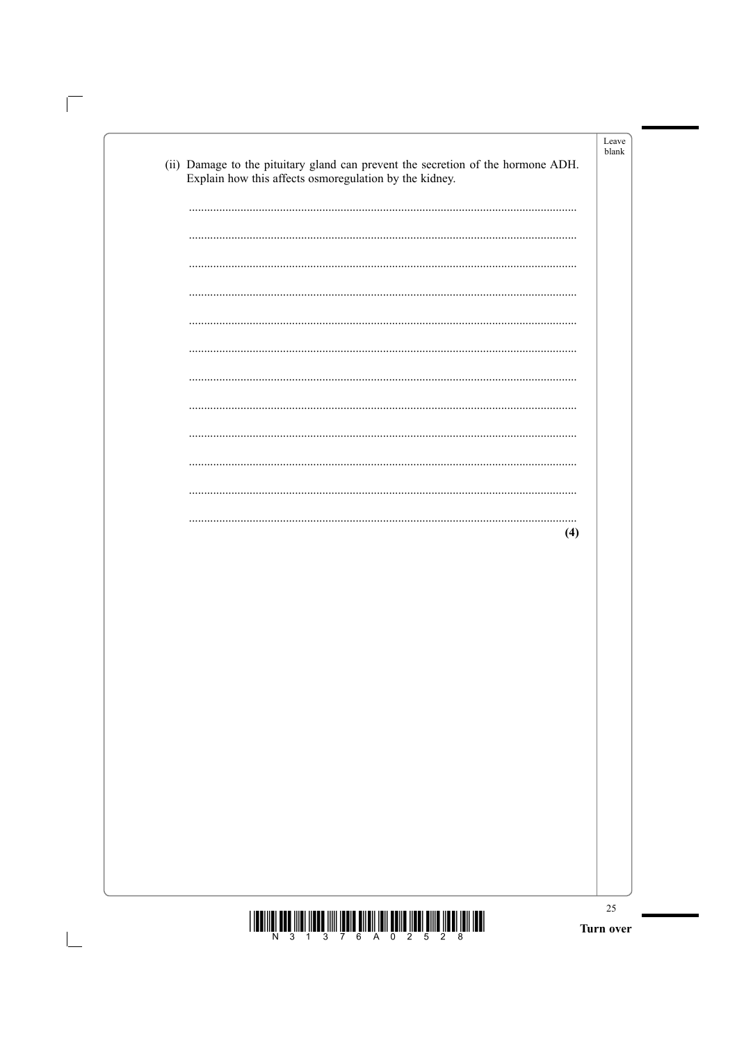| (ii) Damage to the pituitary gland can prevent the secretion of the hormone ADH.<br>Explain how this affects osmoregulation by the kidney.                                                                                                                                                                                                                        | Leave<br>blank |
|-------------------------------------------------------------------------------------------------------------------------------------------------------------------------------------------------------------------------------------------------------------------------------------------------------------------------------------------------------------------|----------------|
|                                                                                                                                                                                                                                                                                                                                                                   |                |
|                                                                                                                                                                                                                                                                                                                                                                   |                |
|                                                                                                                                                                                                                                                                                                                                                                   |                |
|                                                                                                                                                                                                                                                                                                                                                                   |                |
|                                                                                                                                                                                                                                                                                                                                                                   |                |
|                                                                                                                                                                                                                                                                                                                                                                   |                |
|                                                                                                                                                                                                                                                                                                                                                                   |                |
|                                                                                                                                                                                                                                                                                                                                                                   |                |
| (4)                                                                                                                                                                                                                                                                                                                                                               |                |
|                                                                                                                                                                                                                                                                                                                                                                   |                |
|                                                                                                                                                                                                                                                                                                                                                                   |                |
|                                                                                                                                                                                                                                                                                                                                                                   |                |
|                                                                                                                                                                                                                                                                                                                                                                   |                |
|                                                                                                                                                                                                                                                                                                                                                                   |                |
|                                                                                                                                                                                                                                                                                                                                                                   |                |
|                                                                                                                                                                                                                                                                                                                                                                   |                |
|                                                                                                                                                                                                                                                                                                                                                                   |                |
|                                                                                                                                                                                                                                                                                                                                                                   |                |
| $\textstyle \frac{1}{2} \left\  \prod_{i=1}^n \prod_{j=1}^n \prod_{j=1}^n \prod_{j=1}^n \prod_{j=1}^n \prod_{j=1}^n \prod_{j=1}^n \prod_{j=1}^n \prod_{j=1}^n \prod_{j=1}^n \prod_{j=1}^n \prod_{j=1}^n \prod_{j=1}^n \prod_{j=1}^n \prod_{j=1}^n \prod_{j=1}^n \prod_{j=1}^n \prod_{j=1}^n \prod_{j=1}^n \prod_{j=1}^n \prod_{j=1}^n \prod_{j=1}^n \prod_{j=1}^$ | $25\,$         |

 $\overline{\mathbb{F}}$ 

 $\boxed{\phantom{a}}$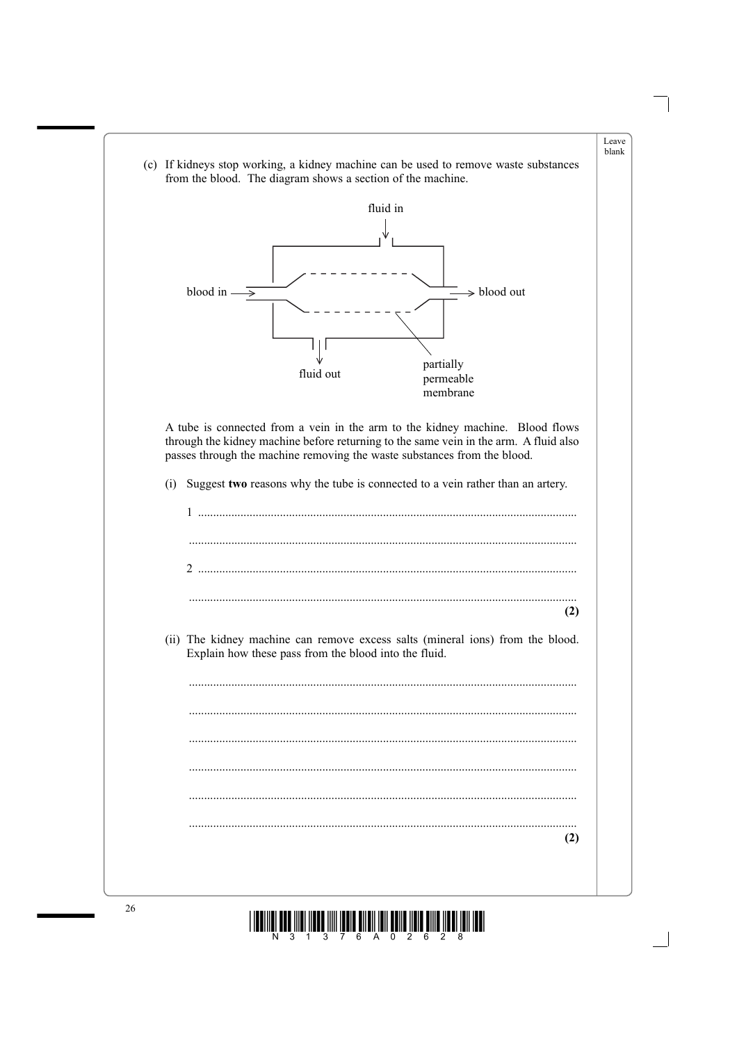|                                       | fluid in                                                                                                                                                   |
|---------------------------------------|------------------------------------------------------------------------------------------------------------------------------------------------------------|
|                                       |                                                                                                                                                            |
|                                       |                                                                                                                                                            |
|                                       |                                                                                                                                                            |
| blood in $\overline{\longrightarrow}$ | $\Rightarrow$ blood out                                                                                                                                    |
|                                       |                                                                                                                                                            |
|                                       |                                                                                                                                                            |
|                                       |                                                                                                                                                            |
|                                       | partially<br>fluid out<br>permeable                                                                                                                        |
|                                       | membrane                                                                                                                                                   |
| (i)                                   | passes through the machine removing the waste substances from the blood.<br>Suggest two reasons why the tube is connected to a vein rather than an artery. |
|                                       |                                                                                                                                                            |
|                                       |                                                                                                                                                            |
| 2                                     |                                                                                                                                                            |
|                                       | (2)                                                                                                                                                        |
|                                       | (ii) The kidney machine can remove excess salts (mineral ions) from the blood.<br>Explain how these pass from the blood into the fluid.                    |
|                                       |                                                                                                                                                            |
|                                       |                                                                                                                                                            |
|                                       |                                                                                                                                                            |
|                                       |                                                                                                                                                            |
|                                       |                                                                                                                                                            |
|                                       |                                                                                                                                                            |

 $\mathbb{R}^2$ 

 $\overline{\phantom{0}}$ 

 $\begin{array}{c} \vspace{2mm} \begin{array}{c} \vspace{2mm} \begin{array}{c} \vspace{2mm} \begin{array}{c} \vspace{2mm} \begin{array}{c} \vspace{2mm} \end{array} \\ \vspace{2mm} \end{array} \\ \vspace{2mm} \begin{array}{c} \vspace{2mm} \begin{array}{c} \vspace{2mm} \end{array} \\ \vspace{2mm} \end{array} \\ \vspace{2mm} \end{array} \end{array} \end{array} \end{array} \end{array} \end{array} \begin{array}{c} \vspace{2mm} \begin{array}{c} \vspace{2mm} \begin{array}{c} \vspace{2$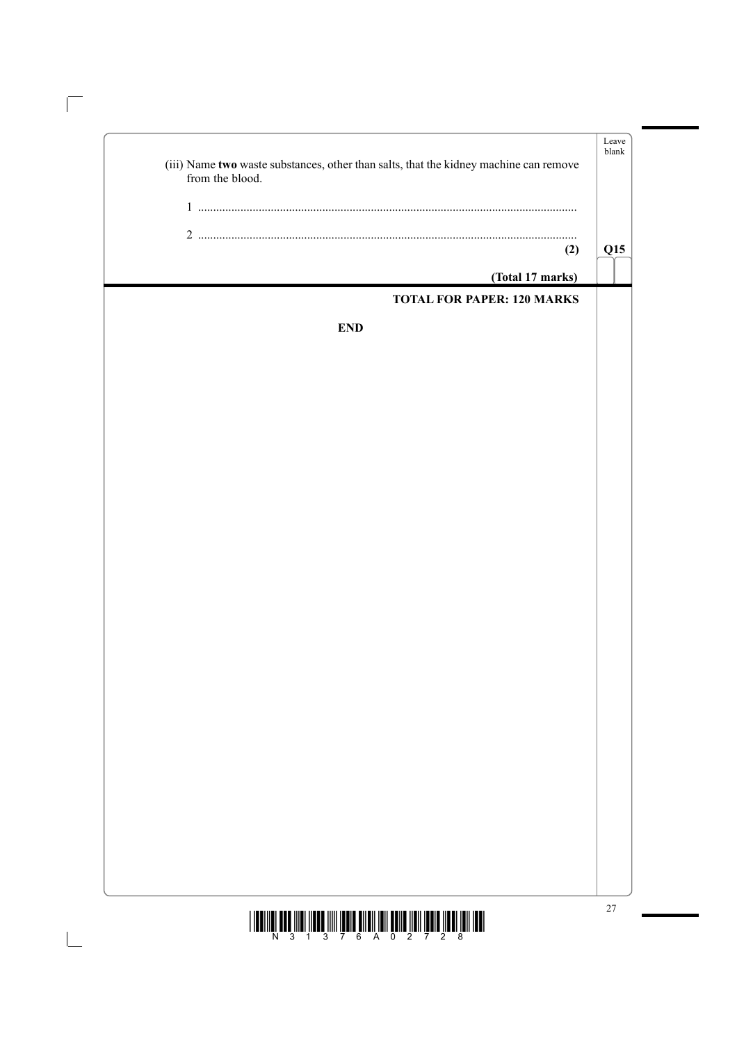| (iii) Name two waste substances, other than salts, that the kidney machine can remove<br>from the blood. | Leave<br>blank |
|----------------------------------------------------------------------------------------------------------|----------------|
|                                                                                                          |                |
|                                                                                                          |                |
| (2)                                                                                                      | Q15            |
| (Total 17 marks)                                                                                         |                |
| <b>TOTAL FOR PAPER: 120 MARKS</b>                                                                        |                |
| <b>END</b>                                                                                               |                |
|                                                                                                          |                |
|                                                                                                          |                |
|                                                                                                          |                |
|                                                                                                          |                |
|                                                                                                          |                |
|                                                                                                          |                |
|                                                                                                          |                |
|                                                                                                          |                |
|                                                                                                          |                |
|                                                                                                          |                |
|                                                                                                          |                |
|                                                                                                          |                |
|                                                                                                          |                |
|                                                                                                          |                |
|                                                                                                          |                |
|                                                                                                          |                |
|                                                                                                          |                |
|                                                                                                          |                |
|                                                                                                          |                |
|                                                                                                          |                |
|                                                                                                          |                |
|                                                                                                          |                |
|                                                                                                          |                |
|                                                                                                          | 27             |

 $\overline{\Box}$